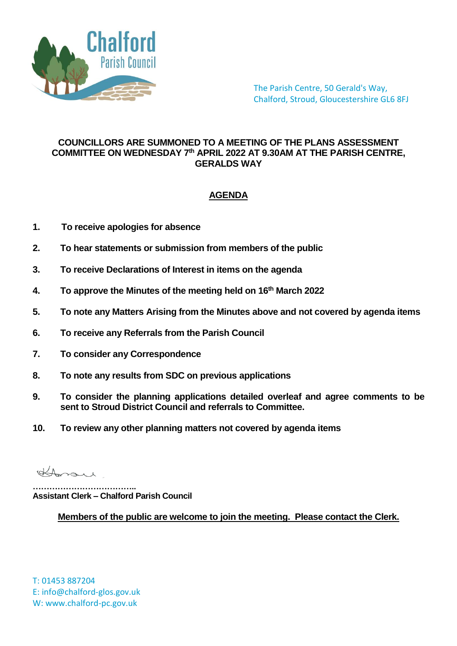

The Parish Centre, 50 Gerald's Way, Chalford, Stroud, Gloucestershire GL6 8FJ

## **COUNCILLORS ARE SUMMONED TO A MEETING OF THE PLANS ASSESSMENT COMMITTEE ON WEDNESDAY 7 th APRIL 2022 AT 9.30AM AT THE PARISH CENTRE, GERALDS WAY**

## **AGENDA**

- **1. To receive apologies for absence**
- **2. To hear statements or submission from members of the public**
- **3. To receive Declarations of Interest in items on the agenda**
- **4. To approve the Minutes of the meeting held on 16th March 2022**
- **5. To note any Matters Arising from the Minutes above and not covered by agenda items**
- **6. To receive any Referrals from the Parish Council**
- **7. To consider any Correspondence**
- **8. To note any results from SDC on previous applications**
- **9. To consider the planning applications detailed overleaf and agree comments to be sent to Stroud District Council and referrals to Committee.**
- **10. To review any other planning matters not covered by agenda items**

Homare

**……………………………….. Assistant Clerk – Chalford Parish Council**

**Members of the public are welcome to join the meeting. Please contact the Clerk.**

T: 01453 887204 E: info@chalford-glos.gov.uk W: www.chalford-pc.gov.uk